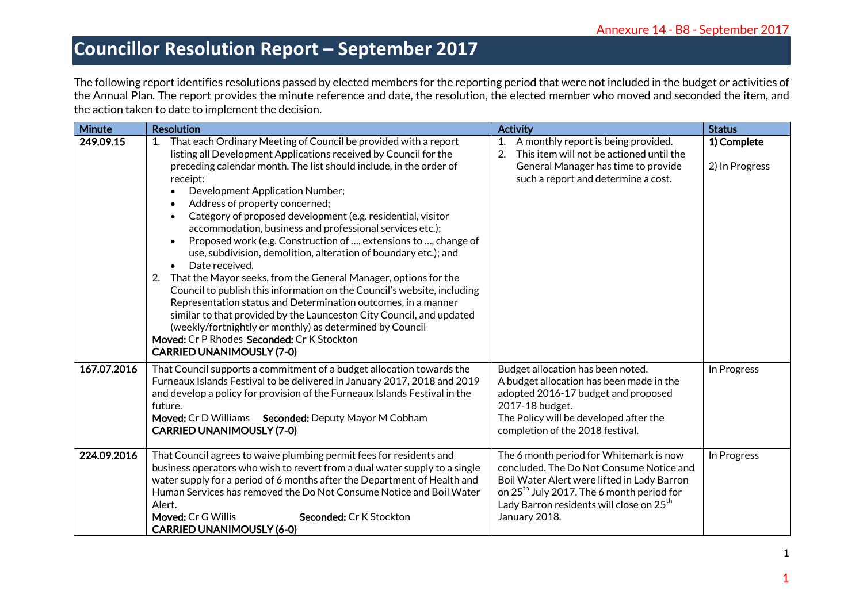|               | The following report identifies resolutions passed by elected members for the reporting period that were not included in the budget or activities of<br>the Annual Plan. The report provides the minute reference and date, the resolution, the elected member who moved and seconded the item, and<br>the action taken to date to implement the decision.                                                                                                                                                                                                                                                                                                                                                                                                                                                                                                                                                                                                                                                                                                         |                                                                                                                                                                                                                                                                      |                               |
|---------------|--------------------------------------------------------------------------------------------------------------------------------------------------------------------------------------------------------------------------------------------------------------------------------------------------------------------------------------------------------------------------------------------------------------------------------------------------------------------------------------------------------------------------------------------------------------------------------------------------------------------------------------------------------------------------------------------------------------------------------------------------------------------------------------------------------------------------------------------------------------------------------------------------------------------------------------------------------------------------------------------------------------------------------------------------------------------|----------------------------------------------------------------------------------------------------------------------------------------------------------------------------------------------------------------------------------------------------------------------|-------------------------------|
| <b>Minute</b> | <b>Resolution</b>                                                                                                                                                                                                                                                                                                                                                                                                                                                                                                                                                                                                                                                                                                                                                                                                                                                                                                                                                                                                                                                  | <b>Activity</b>                                                                                                                                                                                                                                                      | <b>Status</b>                 |
| 249.09.15     | 1. That each Ordinary Meeting of Council be provided with a report<br>listing all Development Applications received by Council for the<br>preceding calendar month. The list should include, in the order of<br>receipt:<br>Development Application Number;<br>Address of property concerned;<br>Category of proposed development (e.g. residential, visitor<br>$\bullet$<br>accommodation, business and professional services etc.);<br>Proposed work (e.g. Construction of , extensions to , change of<br>$\bullet$<br>use, subdivision, demolition, alteration of boundary etc.); and<br>Date received.<br>$\bullet$<br>That the Mayor seeks, from the General Manager, options for the<br>2.<br>Council to publish this information on the Council's website, including<br>Representation status and Determination outcomes, in a manner<br>similar to that provided by the Launceston City Council, and updated<br>(weekly/fortnightly or monthly) as determined by Council<br>Moved: Cr P Rhodes Seconded: Cr K Stockton<br><b>CARRIED UNANIMOUSLY (7-0)</b> | 1. A monthly report is being provided.<br>2.<br>This item will not be actioned until the<br>General Manager has time to provide<br>such a report and determine a cost.                                                                                               | 1) Complete<br>2) In Progress |
| 167.07.2016   | That Council supports a commitment of a budget allocation towards the<br>Furneaux Islands Festival to be delivered in January 2017, 2018 and 2019<br>and develop a policy for provision of the Furneaux Islands Festival in the<br>future.<br>Moved: Cr D Williams Seconded: Deputy Mayor M Cobham<br><b>CARRIED UNANIMOUSLY (7-0)</b>                                                                                                                                                                                                                                                                                                                                                                                                                                                                                                                                                                                                                                                                                                                             | Budget allocation has been noted.<br>A budget allocation has been made in the<br>adopted 2016-17 budget and proposed<br>2017-18 budget.<br>The Policy will be developed after the<br>completion of the 2018 festival.                                                | In Progress                   |
| 224.09.2016   | That Council agrees to waive plumbing permit fees for residents and<br>business operators who wish to revert from a dual water supply to a single<br>water supply for a period of 6 months after the Department of Health and<br>Human Services has removed the Do Not Consume Notice and Boil Water<br>Alert.<br>Moved: Cr G Willis<br>Seconded: Cr K Stockton<br><b>CARRIED UNANIMOUSLY (6-0)</b>                                                                                                                                                                                                                                                                                                                                                                                                                                                                                                                                                                                                                                                                | The 6 month period for Whitemark is now<br>concluded. The Do Not Consume Notice and<br>Boil Water Alert were lifted in Lady Barron<br>on 25 <sup>th</sup> July 2017. The 6 month period for<br>Lady Barron residents will close on 25 <sup>th</sup><br>January 2018. | In Progress                   |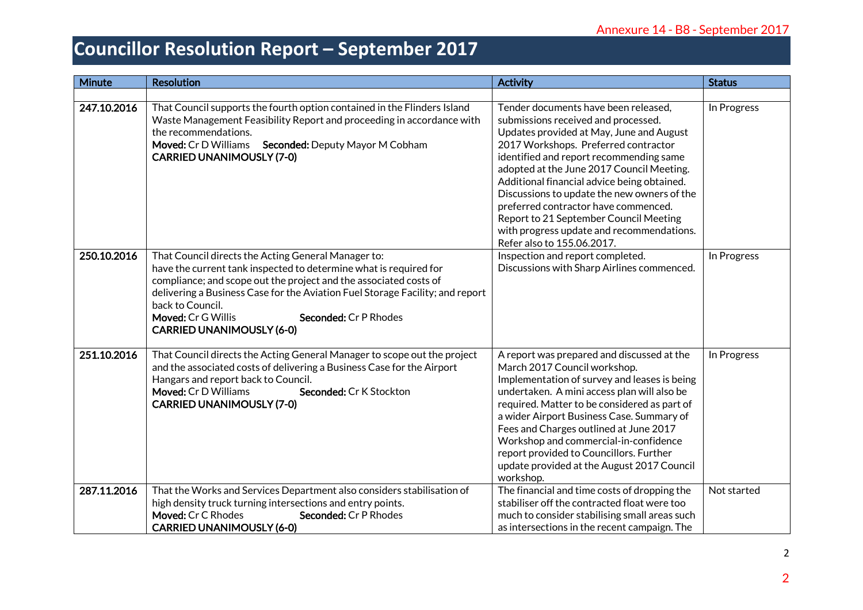| Minute      | <b>Resolution</b>                                                                                                                                                                                                                                                                                                                                                                            | <b>Activity</b>                                                                                                                                                                                                                                                                                                                                                                                                                                                                                                    | <b>Status</b> |
|-------------|----------------------------------------------------------------------------------------------------------------------------------------------------------------------------------------------------------------------------------------------------------------------------------------------------------------------------------------------------------------------------------------------|--------------------------------------------------------------------------------------------------------------------------------------------------------------------------------------------------------------------------------------------------------------------------------------------------------------------------------------------------------------------------------------------------------------------------------------------------------------------------------------------------------------------|---------------|
| 247.10.2016 | That Council supports the fourth option contained in the Flinders Island<br>Waste Management Feasibility Report and proceeding in accordance with<br>the recommendations.<br>Moved: Cr D Williams Seconded: Deputy Mayor M Cobham<br><b>CARRIED UNANIMOUSLY (7-0)</b>                                                                                                                        | Tender documents have been released,<br>submissions received and processed.<br>Updates provided at May, June and August<br>2017 Workshops. Preferred contractor<br>identified and report recommending same<br>adopted at the June 2017 Council Meeting.<br>Additional financial advice being obtained.<br>Discussions to update the new owners of the<br>preferred contractor have commenced.<br>Report to 21 September Council Meeting<br>with progress update and recommendations.<br>Refer also to 155.06.2017. | In Progress   |
| 250.10.2016 | That Council directs the Acting General Manager to:<br>have the current tank inspected to determine what is required for<br>compliance; and scope out the project and the associated costs of<br>delivering a Business Case for the Aviation Fuel Storage Facility; and report<br>back to Council.<br>Moved: Cr G Willis<br><b>Seconded: Cr P Rhodes</b><br><b>CARRIED UNANIMOUSLY (6-0)</b> | Inspection and report completed.<br>Discussions with Sharp Airlines commenced.                                                                                                                                                                                                                                                                                                                                                                                                                                     | In Progress   |
| 251.10.2016 | That Council directs the Acting General Manager to scope out the project<br>and the associated costs of delivering a Business Case for the Airport<br>Hangars and report back to Council.<br>Moved: Cr D Williams<br>Seconded: Cr K Stockton<br><b>CARRIED UNANIMOUSLY (7-0)</b>                                                                                                             | A report was prepared and discussed at the<br>March 2017 Council workshop.<br>Implementation of survey and leases is being<br>undertaken. A mini access plan will also be<br>required. Matter to be considered as part of<br>a wider Airport Business Case. Summary of<br>Fees and Charges outlined at June 2017<br>Workshop and commercial-in-confidence<br>report provided to Councillors. Further<br>update provided at the August 2017 Council<br>workshop.                                                    | In Progress   |
| 287.11.2016 | That the Works and Services Department also considers stabilisation of<br>high density truck turning intersections and entry points.<br>Moved: Cr C Rhodes<br>Seconded: Cr P Rhodes<br><b>CARRIED UNANIMOUSLY (6-0)</b>                                                                                                                                                                      | The financial and time costs of dropping the<br>stabiliser off the contracted float were too<br>much to consider stabilising small areas such<br>as intersections in the recent campaign. The                                                                                                                                                                                                                                                                                                                      | Not started   |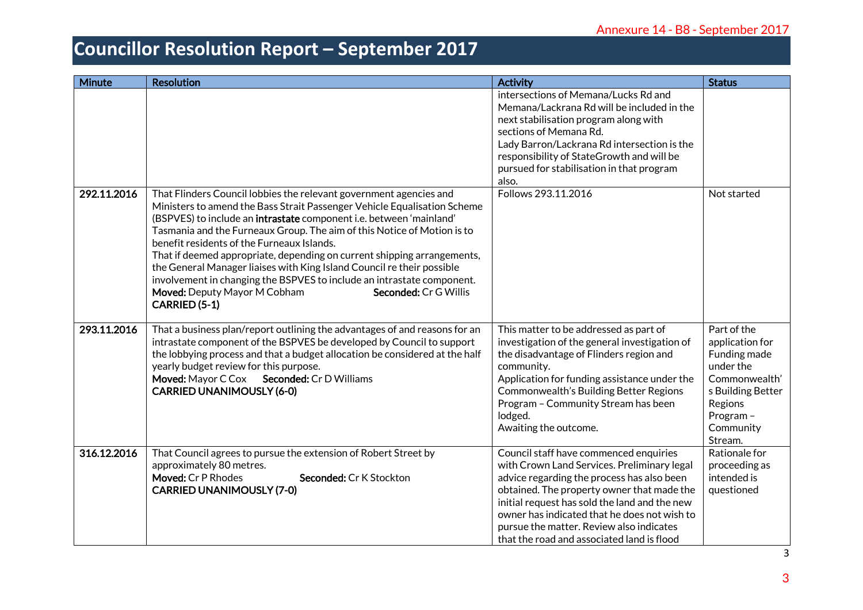| Minute      | <b>Resolution</b>                                                                                                                                                                                                                                                                                                                                                                                                                                                                                                                                                                                                                                       | <b>Activity</b>                                                                                                                                                                                                                                                                                                                                                              | <b>Status</b>                                                                                                                                    |
|-------------|---------------------------------------------------------------------------------------------------------------------------------------------------------------------------------------------------------------------------------------------------------------------------------------------------------------------------------------------------------------------------------------------------------------------------------------------------------------------------------------------------------------------------------------------------------------------------------------------------------------------------------------------------------|------------------------------------------------------------------------------------------------------------------------------------------------------------------------------------------------------------------------------------------------------------------------------------------------------------------------------------------------------------------------------|--------------------------------------------------------------------------------------------------------------------------------------------------|
|             |                                                                                                                                                                                                                                                                                                                                                                                                                                                                                                                                                                                                                                                         | intersections of Memana/Lucks Rd and<br>Memana/Lackrana Rd will be included in the<br>next stabilisation program along with<br>sections of Memana Rd.<br>Lady Barron/Lackrana Rd intersection is the<br>responsibility of StateGrowth and will be<br>pursued for stabilisation in that program<br>also.                                                                      |                                                                                                                                                  |
| 292.11.2016 | That Flinders Council lobbies the relevant government agencies and<br>Ministers to amend the Bass Strait Passenger Vehicle Equalisation Scheme<br>(BSPVES) to include an intrastate component i.e. between 'mainland'<br>Tasmania and the Furneaux Group. The aim of this Notice of Motion is to<br>benefit residents of the Furneaux Islands.<br>That if deemed appropriate, depending on current shipping arrangements,<br>the General Manager liaises with King Island Council re their possible<br>involvement in changing the BSPVES to include an intrastate component.<br>Moved: Deputy Mayor M Cobham<br>Seconded: Cr G Willis<br>CARRIED (5-1) | Follows 293.11.2016                                                                                                                                                                                                                                                                                                                                                          | Not started                                                                                                                                      |
| 293.11.2016 | That a business plan/report outlining the advantages of and reasons for an<br>intrastate component of the BSPVES be developed by Council to support<br>the lobbying process and that a budget allocation be considered at the half<br>yearly budget review for this purpose.<br>Moved: Mayor C Cox Seconded: Cr D Williams<br><b>CARRIED UNANIMOUSLY (6-0)</b>                                                                                                                                                                                                                                                                                          | This matter to be addressed as part of<br>investigation of the general investigation of<br>the disadvantage of Flinders region and<br>community.<br>Application for funding assistance under the<br>Commonwealth's Building Better Regions<br>Program - Community Stream has been<br>lodged.<br>Awaiting the outcome.                                                        | Part of the<br>application for<br>Funding made<br>under the<br>Commonwealth'<br>s Building Better<br>Regions<br>Program-<br>Community<br>Stream. |
| 316.12.2016 | That Council agrees to pursue the extension of Robert Street by<br>approximately 80 metres.<br>Moved: Cr P Rhodes<br>Seconded: Cr K Stockton<br><b>CARRIED UNANIMOUSLY (7-0)</b>                                                                                                                                                                                                                                                                                                                                                                                                                                                                        | Council staff have commenced enquiries<br>with Crown Land Services. Preliminary legal<br>advice regarding the process has also been<br>obtained. The property owner that made the<br>initial request has sold the land and the new<br>owner has indicated that he does not wish to<br>pursue the matter. Review also indicates<br>that the road and associated land is flood | Rationale for<br>proceeding as<br>intended is<br>questioned                                                                                      |

3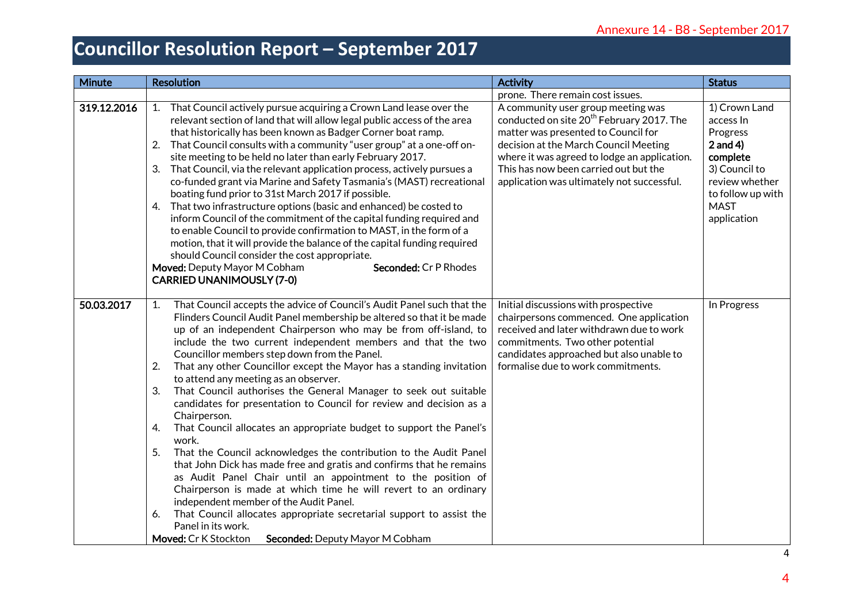| Minute      | <b>Resolution</b>                                                                                                                                                                                                                                                                                                                                                                                                                                                                                                                                                                                                                                                                                                                                                                                                                                                                                                                                                                                                                                                                                                                                                                                                     | <b>Activity</b>                                                                                                                                                                                                                                                                                                                                        | <b>Status</b>                                                                                                                                          |
|-------------|-----------------------------------------------------------------------------------------------------------------------------------------------------------------------------------------------------------------------------------------------------------------------------------------------------------------------------------------------------------------------------------------------------------------------------------------------------------------------------------------------------------------------------------------------------------------------------------------------------------------------------------------------------------------------------------------------------------------------------------------------------------------------------------------------------------------------------------------------------------------------------------------------------------------------------------------------------------------------------------------------------------------------------------------------------------------------------------------------------------------------------------------------------------------------------------------------------------------------|--------------------------------------------------------------------------------------------------------------------------------------------------------------------------------------------------------------------------------------------------------------------------------------------------------------------------------------------------------|--------------------------------------------------------------------------------------------------------------------------------------------------------|
| 319.12.2016 | 1. That Council actively pursue acquiring a Crown Land lease over the<br>relevant section of land that will allow legal public access of the area<br>that historically has been known as Badger Corner boat ramp.<br>That Council consults with a community "user group" at a one-off on-<br>2.<br>site meeting to be held no later than early February 2017.<br>3.<br>That Council, via the relevant application process, actively pursues a<br>co-funded grant via Marine and Safety Tasmania's (MAST) recreational<br>boating fund prior to 31st March 2017 if possible.<br>That two infrastructure options (basic and enhanced) be costed to<br>4.<br>inform Council of the commitment of the capital funding required and<br>to enable Council to provide confirmation to MAST, in the form of a<br>motion, that it will provide the balance of the capital funding required<br>should Council consider the cost appropriate.<br>Moved: Deputy Mayor M Cobham<br>Seconded: Cr P Rhodes<br><b>CARRIED UNANIMOUSLY (7-0)</b>                                                                                                                                                                                       | prone. There remain cost issues.<br>A community user group meeting was<br>conducted on site 20 <sup>th</sup> February 2017. The<br>matter was presented to Council for<br>decision at the March Council Meeting<br>where it was agreed to lodge an application.<br>This has now been carried out but the<br>application was ultimately not successful. | 1) Crown Land<br>access In<br>Progress<br>$2$ and 4)<br>complete<br>3) Council to<br>review whether<br>to follow up with<br><b>MAST</b><br>application |
| 50.03.2017  | That Council accepts the advice of Council's Audit Panel such that the<br>1.<br>Flinders Council Audit Panel membership be altered so that it be made<br>up of an independent Chairperson who may be from off-island, to<br>include the two current independent members and that the two<br>Councillor members step down from the Panel.<br>2.<br>That any other Councillor except the Mayor has a standing invitation<br>to attend any meeting as an observer.<br>That Council authorises the General Manager to seek out suitable<br>3.<br>candidates for presentation to Council for review and decision as a<br>Chairperson.<br>That Council allocates an appropriate budget to support the Panel's<br>4.<br>work.<br>5.<br>That the Council acknowledges the contribution to the Audit Panel<br>that John Dick has made free and gratis and confirms that he remains<br>as Audit Panel Chair until an appointment to the position of<br>Chairperson is made at which time he will revert to an ordinary<br>independent member of the Audit Panel.<br>That Council allocates appropriate secretarial support to assist the<br>6.<br>Panel in its work.<br>Moved: Cr K Stockton<br>Seconded: Deputy Mayor M Cobham | Initial discussions with prospective<br>chairpersons commenced. One application<br>received and later withdrawn due to work<br>commitments. Two other potential<br>candidates approached but also unable to<br>formalise due to work commitments.                                                                                                      | In Progress                                                                                                                                            |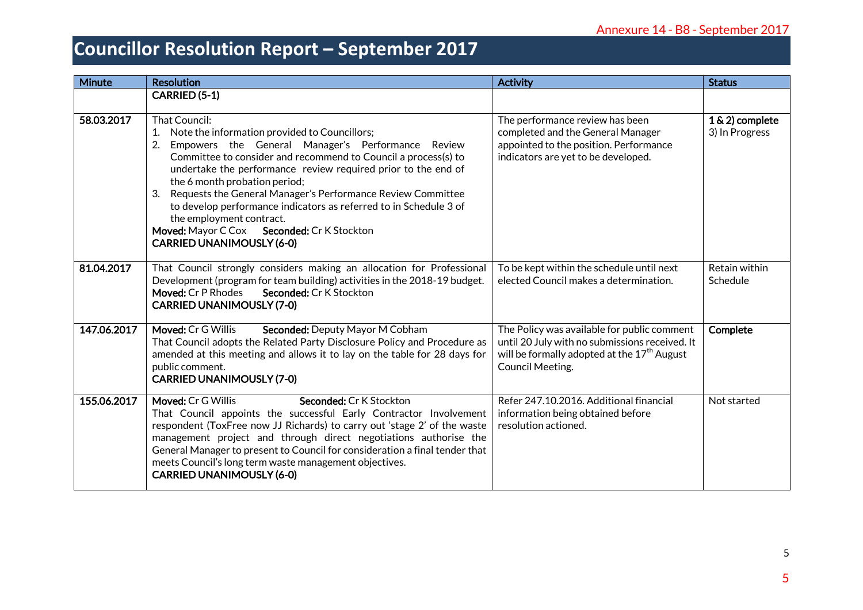| <b>Minute</b> | <b>Resolution</b>                                                                                                                                                                                                                                                                                                                                                                                                                                                                                                                                        | <b>Activity</b>                                                                                                                                                                     | <b>Status</b>                     |
|---------------|----------------------------------------------------------------------------------------------------------------------------------------------------------------------------------------------------------------------------------------------------------------------------------------------------------------------------------------------------------------------------------------------------------------------------------------------------------------------------------------------------------------------------------------------------------|-------------------------------------------------------------------------------------------------------------------------------------------------------------------------------------|-----------------------------------|
|               | CARRIED (5-1)                                                                                                                                                                                                                                                                                                                                                                                                                                                                                                                                            |                                                                                                                                                                                     |                                   |
| 58.03.2017    | That Council:<br>Note the information provided to Councillors;<br>Empowers the General Manager's Performance<br>2.<br>Review<br>Committee to consider and recommend to Council a process(s) to<br>undertake the performance review required prior to the end of<br>the 6 month probation period;<br>Requests the General Manager's Performance Review Committee<br>3.<br>to develop performance indicators as referred to in Schedule 3 of<br>the employment contract.<br>Moved: Mayor C Cox Seconded: Cr K Stockton<br><b>CARRIED UNANIMOUSLY (6-0)</b> | The performance review has been<br>completed and the General Manager<br>appointed to the position. Performance<br>indicators are yet to be developed.                               | 1 & 2) complete<br>3) In Progress |
| 81.04.2017    | That Council strongly considers making an allocation for Professional<br>Development (program for team building) activities in the 2018-19 budget.<br>Moved: Cr P Rhodes<br>Seconded: Cr K Stockton<br><b>CARRIED UNANIMOUSLY (7-0)</b>                                                                                                                                                                                                                                                                                                                  | To be kept within the schedule until next<br>elected Council makes a determination.                                                                                                 | Retain within<br>Schedule         |
| 147.06.2017   | Moved: Cr G Willis<br>Seconded: Deputy Mayor M Cobham<br>That Council adopts the Related Party Disclosure Policy and Procedure as<br>amended at this meeting and allows it to lay on the table for 28 days for<br>public comment.<br><b>CARRIED UNANIMOUSLY (7-0)</b>                                                                                                                                                                                                                                                                                    | The Policy was available for public comment<br>until 20 July with no submissions received. It<br>will be formally adopted at the 17 <sup>th</sup> August<br><b>Council Meeting.</b> | Complete                          |
| 155.06.2017   | Moved: Cr G Willis<br>Seconded: Cr K Stockton<br>That Council appoints the successful Early Contractor Involvement<br>respondent (ToxFree now JJ Richards) to carry out 'stage 2' of the waste<br>management project and through direct negotiations authorise the<br>General Manager to present to Council for consideration a final tender that<br>meets Council's long term waste management objectives.<br><b>CARRIED UNANIMOUSLY (6-0)</b>                                                                                                          | Refer 247.10.2016. Additional financial<br>information being obtained before<br>resolution actioned.                                                                                | Not started                       |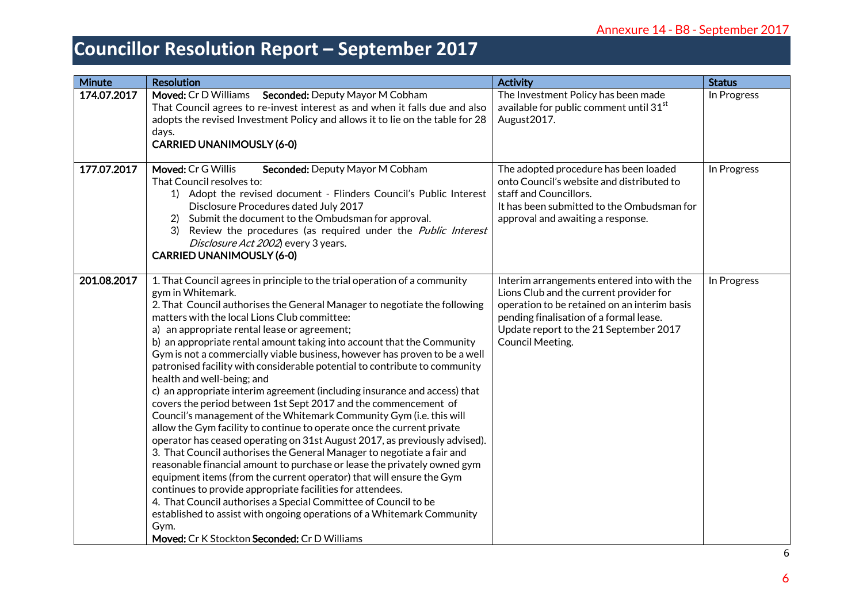| <b>Minute</b> | <b>Resolution</b>                                                                                                                                                                                                                                                                                                                                                                                                                                                                                                                                                                                                                                                                                                                                                                                                                                                                                                                                                                                                                                                                                                                                                                                                                                                                                                                                                                                                               | <b>Activity</b>                                                                                                                                                                                                                                       | <b>Status</b> |
|---------------|---------------------------------------------------------------------------------------------------------------------------------------------------------------------------------------------------------------------------------------------------------------------------------------------------------------------------------------------------------------------------------------------------------------------------------------------------------------------------------------------------------------------------------------------------------------------------------------------------------------------------------------------------------------------------------------------------------------------------------------------------------------------------------------------------------------------------------------------------------------------------------------------------------------------------------------------------------------------------------------------------------------------------------------------------------------------------------------------------------------------------------------------------------------------------------------------------------------------------------------------------------------------------------------------------------------------------------------------------------------------------------------------------------------------------------|-------------------------------------------------------------------------------------------------------------------------------------------------------------------------------------------------------------------------------------------------------|---------------|
| 174.07.2017   | Moved: Cr D Williams Seconded: Deputy Mayor M Cobham<br>That Council agrees to re-invest interest as and when it falls due and also<br>adopts the revised Investment Policy and allows it to lie on the table for 28<br>days.<br><b>CARRIED UNANIMOUSLY (6-0)</b>                                                                                                                                                                                                                                                                                                                                                                                                                                                                                                                                                                                                                                                                                                                                                                                                                                                                                                                                                                                                                                                                                                                                                               | The Investment Policy has been made<br>available for public comment until 31 <sup>st</sup><br>August2017.                                                                                                                                             | In Progress   |
| 177.07.2017   | Moved: Cr G Willis<br>Seconded: Deputy Mayor M Cobham<br>That Council resolves to:<br>1) Adopt the revised document - Flinders Council's Public Interest<br>Disclosure Procedures dated July 2017<br>Submit the document to the Ombudsman for approval.<br>Review the procedures (as required under the Public Interest<br>3)<br>Disclosure Act 2002) every 3 years.<br><b>CARRIED UNANIMOUSLY (6-0)</b>                                                                                                                                                                                                                                                                                                                                                                                                                                                                                                                                                                                                                                                                                                                                                                                                                                                                                                                                                                                                                        | The adopted procedure has been loaded<br>onto Council's website and distributed to<br>staff and Councillors.<br>It has been submitted to the Ombudsman for<br>approval and awaiting a response.                                                       | In Progress   |
| 201.08.2017   | 1. That Council agrees in principle to the trial operation of a community<br>gym in Whitemark.<br>2. That Council authorises the General Manager to negotiate the following<br>matters with the local Lions Club committee:<br>a) an appropriate rental lease or agreement;<br>b) an appropriate rental amount taking into account that the Community<br>Gym is not a commercially viable business, however has proven to be a well<br>patronised facility with considerable potential to contribute to community<br>health and well-being; and<br>c) an appropriate interim agreement (including insurance and access) that<br>covers the period between 1st Sept 2017 and the commencement of<br>Council's management of the Whitemark Community Gym (i.e. this will<br>allow the Gym facility to continue to operate once the current private<br>operator has ceased operating on 31st August 2017, as previously advised).<br>3. That Council authorises the General Manager to negotiate a fair and<br>reasonable financial amount to purchase or lease the privately owned gym<br>equipment items (from the current operator) that will ensure the Gym<br>continues to provide appropriate facilities for attendees.<br>4. That Council authorises a Special Committee of Council to be<br>established to assist with ongoing operations of a Whitemark Community<br>Gym.<br>Moved: Cr K Stockton Seconded: Cr D Williams | Interim arrangements entered into with the<br>Lions Club and the current provider for<br>operation to be retained on an interim basis<br>pending finalisation of a formal lease.<br>Update report to the 21 September 2017<br><b>Council Meeting.</b> | In Progress   |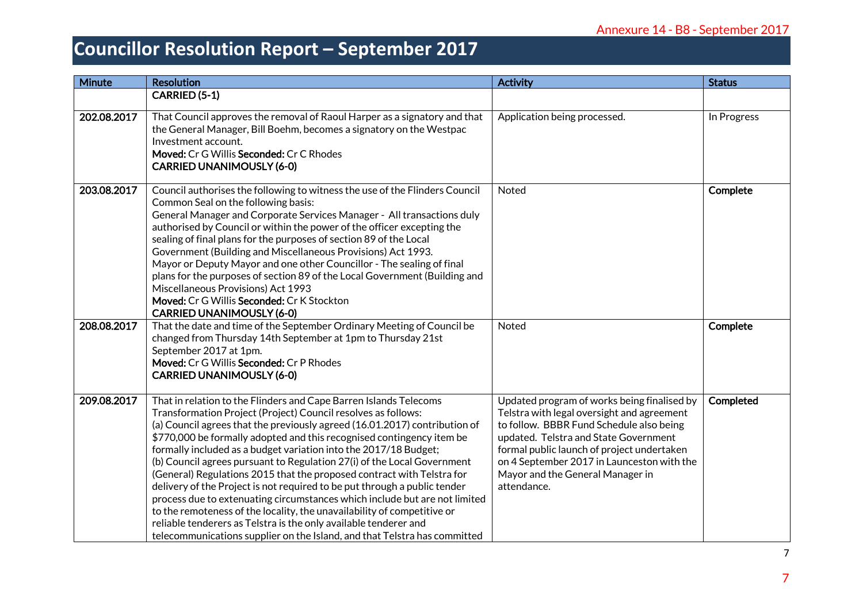| Minute      | <b>Resolution</b>                                                                                                                                                                                                                                                                                                                                                                                                                                                                                                                                                                                                                                                                                                                                                                                                                                                                                         | <b>Activity</b>                                                                                                                                                                                                                                                                                                               | <b>Status</b> |
|-------------|-----------------------------------------------------------------------------------------------------------------------------------------------------------------------------------------------------------------------------------------------------------------------------------------------------------------------------------------------------------------------------------------------------------------------------------------------------------------------------------------------------------------------------------------------------------------------------------------------------------------------------------------------------------------------------------------------------------------------------------------------------------------------------------------------------------------------------------------------------------------------------------------------------------|-------------------------------------------------------------------------------------------------------------------------------------------------------------------------------------------------------------------------------------------------------------------------------------------------------------------------------|---------------|
|             | <b>CARRIED (5-1)</b>                                                                                                                                                                                                                                                                                                                                                                                                                                                                                                                                                                                                                                                                                                                                                                                                                                                                                      |                                                                                                                                                                                                                                                                                                                               |               |
| 202.08.2017 | That Council approves the removal of Raoul Harper as a signatory and that<br>the General Manager, Bill Boehm, becomes a signatory on the Westpac<br>Investment account.<br>Moved: Cr G Willis Seconded: Cr C Rhodes<br><b>CARRIED UNANIMOUSLY (6-0)</b>                                                                                                                                                                                                                                                                                                                                                                                                                                                                                                                                                                                                                                                   | Application being processed.                                                                                                                                                                                                                                                                                                  | In Progress   |
| 203.08.2017 | Council authorises the following to witness the use of the Flinders Council<br>Common Seal on the following basis:<br>General Manager and Corporate Services Manager - All transactions duly<br>authorised by Council or within the power of the officer excepting the<br>sealing of final plans for the purposes of section 89 of the Local<br>Government (Building and Miscellaneous Provisions) Act 1993.<br>Mayor or Deputy Mayor and one other Councillor - The sealing of final<br>plans for the purposes of section 89 of the Local Government (Building and<br>Miscellaneous Provisions) Act 1993<br>Moved: Cr G Willis Seconded: Cr K Stockton<br><b>CARRIED UNANIMOUSLY (6-0)</b>                                                                                                                                                                                                               | Noted                                                                                                                                                                                                                                                                                                                         | Complete      |
| 208.08.2017 | That the date and time of the September Ordinary Meeting of Council be<br>changed from Thursday 14th September at 1pm to Thursday 21st<br>September 2017 at 1pm.<br>Moved: Cr G Willis Seconded: Cr P Rhodes<br><b>CARRIED UNANIMOUSLY (6-0)</b>                                                                                                                                                                                                                                                                                                                                                                                                                                                                                                                                                                                                                                                          | Noted                                                                                                                                                                                                                                                                                                                         | Complete      |
| 209.08.2017 | That in relation to the Flinders and Cape Barren Islands Telecoms<br>Transformation Project (Project) Council resolves as follows:<br>(a) Council agrees that the previously agreed (16.01.2017) contribution of<br>\$770,000 be formally adopted and this recognised contingency item be<br>formally included as a budget variation into the 2017/18 Budget;<br>(b) Council agrees pursuant to Regulation 27(i) of the Local Government<br>(General) Regulations 2015 that the proposed contract with Telstra for<br>delivery of the Project is not required to be put through a public tender<br>process due to extenuating circumstances which include but are not limited<br>to the remoteness of the locality, the unavailability of competitive or<br>reliable tenderers as Telstra is the only available tenderer and<br>telecommunications supplier on the Island, and that Telstra has committed | Updated program of works being finalised by<br>Telstra with legal oversight and agreement<br>to follow. BBBR Fund Schedule also being<br>updated. Telstra and State Government<br>formal public launch of project undertaken<br>on 4 September 2017 in Launceston with the<br>Mayor and the General Manager in<br>attendance. | Completed     |